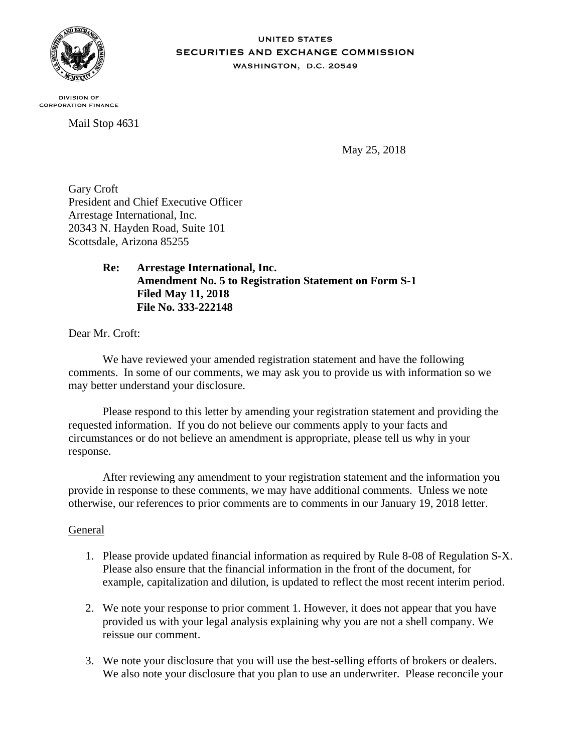

#### **UNITED STATES SECURITIES AND EXCHANGE COMMISSION** WASHINGTON, D.C. 20549

**DIVISION OF CORPORATION FINANCE** 

Mail Stop 4631

May 25, 2018

Gary Croft President and Chief Executive Officer Arrestage International, Inc. 20343 N. Hayden Road, Suite 101 Scottsdale, Arizona 85255

> **Re: Arrestage International, Inc. Amendment No. 5 to Registration Statement on Form S-1 Filed May 11, 2018 File No. 333-222148**

Dear Mr. Croft:

We have reviewed your amended registration statement and have the following comments. In some of our comments, we may ask you to provide us with information so we may better understand your disclosure.

Please respond to this letter by amending your registration statement and providing the requested information. If you do not believe our comments apply to your facts and circumstances or do not believe an amendment is appropriate, please tell us why in your response.

After reviewing any amendment to your registration statement and the information you provide in response to these comments, we may have additional comments. Unless we note otherwise, our references to prior comments are to comments in our January 19, 2018 letter.

# General

- 1. Please provide updated financial information as required by Rule 8-08 of Regulation S-X. Please also ensure that the financial information in the front of the document, for example, capitalization and dilution, is updated to reflect the most recent interim period.
- 2. We note your response to prior comment 1. However, it does not appear that you have provided us with your legal analysis explaining why you are not a shell company. We reissue our comment.
- 3. We note your disclosure that you will use the best-selling efforts of brokers or dealers. We also note your disclosure that you plan to use an underwriter. Please reconcile your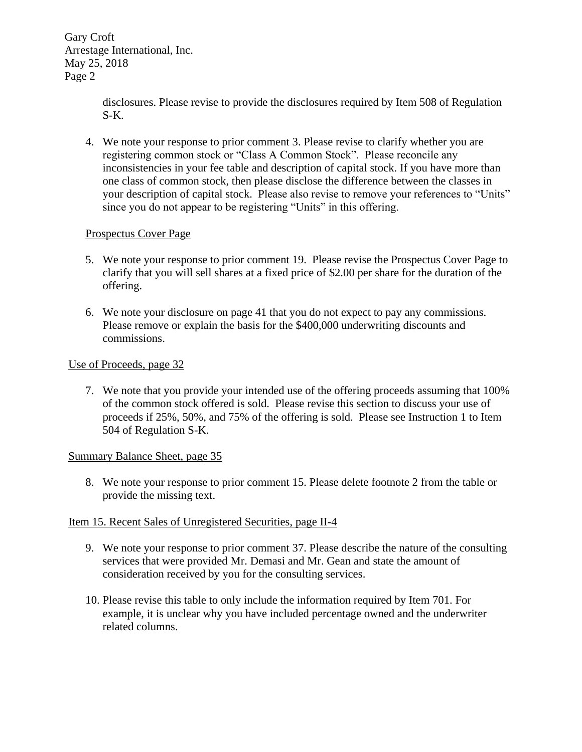Gary Croft Arrestage International, Inc. May 25, 2018 Page 2

> disclosures. Please revise to provide the disclosures required by Item 508 of Regulation S-K.

4. We note your response to prior comment 3. Please revise to clarify whether you are registering common stock or "Class A Common Stock". Please reconcile any inconsistencies in your fee table and description of capital stock. If you have more than one class of common stock, then please disclose the difference between the classes in your description of capital stock. Please also revise to remove your references to "Units" since you do not appear to be registering "Units" in this offering.

## Prospectus Cover Page

- 5. We note your response to prior comment 19. Please revise the Prospectus Cover Page to clarify that you will sell shares at a fixed price of \$2.00 per share for the duration of the offering.
- 6. We note your disclosure on page 41 that you do not expect to pay any commissions. Please remove or explain the basis for the \$400,000 underwriting discounts and commissions.

### Use of Proceeds, page 32

7. We note that you provide your intended use of the offering proceeds assuming that 100% of the common stock offered is sold. Please revise this section to discuss your use of proceeds if 25%, 50%, and 75% of the offering is sold. Please see Instruction 1 to Item 504 of Regulation S-K.

### Summary Balance Sheet, page 35

8. We note your response to prior comment 15. Please delete footnote 2 from the table or provide the missing text.

### Item 15. Recent Sales of Unregistered Securities, page II-4

- 9. We note your response to prior comment 37. Please describe the nature of the consulting services that were provided Mr. Demasi and Mr. Gean and state the amount of consideration received by you for the consulting services.
- 10. Please revise this table to only include the information required by Item 701. For example, it is unclear why you have included percentage owned and the underwriter related columns.